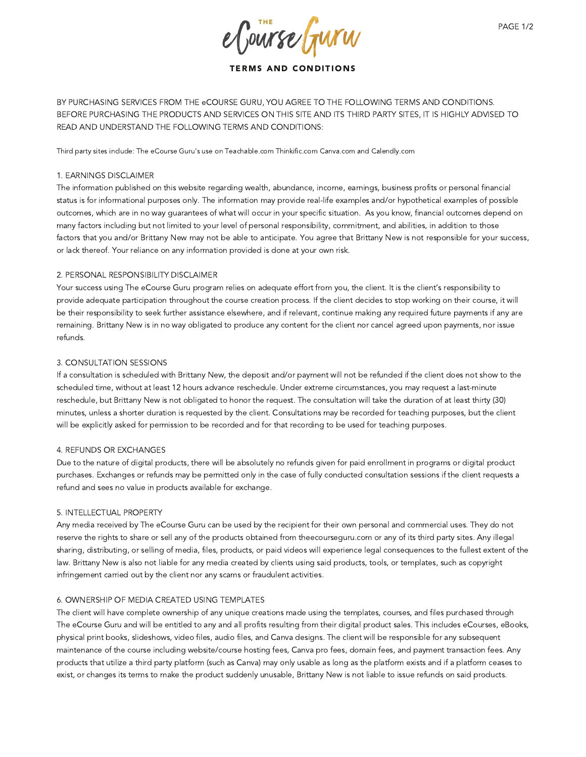e Course Gurw

# TERMS AND CONDITIONS

BY PURCHASING SERVICES FROM THE eCOURSE GURU, YOU AGREE TO THE FOLLOWING TERMS AND CONDITIONS. BEFORE PURCHASING THE PRODUCTS AND SERVICES ON THIS SITE AND ITS THIRD PARTY SITES, IT IS HIGHLY ADVISED TO READ AND UNDERSTAND THE FOLLOWING TERMS AND CONDITIONS:

Third party sites include: The eCourse Guru's use on Teachable.com Thinkific.com Canva.com and Calendly.com

## 1. EARNINGS DISCLAIMER

The information published on this website regarding wealth, abundance, income, earnings, business profits or personal financial status is for informational purposes only. The information may provide real-life examples and/or hypothetical examples of possible outcomes, which are in no way guarantees of what will occur in your specific situation. As you know, financial outcomes depend on many factors including but not limited to your level of personal responsibility, commitment, and abilities, in addition to those factors that you and/or Brittany New may not be able to anticipate. You agree that Brittany New is not responsible for your success, or lack thereof. Your reliance on any information provided is done at your own risk.

# 2. PERSONAL RESPONSIBILITY DISCLAIMER

Your success using The eCourse Guru program relies on adequate effort from you, the client. It is the client's responsibility to provide adequate participation throughout the course creation process. If the client decides to stop working on their course, it will be their responsibility to seek further assistance elsewhere, and if relevant, continue making any required future payments if any are remaining. Brittany New is in no way obligated to produce any content for the client nor cancel agreed upon payments, nor issue refunds.

# 3. CONSULTATION SESSIONS

If a consultation is scheduled with Brittany New, the deposit and/or payment will not be refunded if the client does not show to the scheduled time, without at least 12 hours advance reschedule. Under extreme circumstances, you may request a last-minute reschedule, but Brittany New is not obligated to honor the request. The consultation will take the duration of at least thirty (30) minutes, unless a shorter duration is requested by the client. Consultations may be recorded for teaching purposes, but the client will be explicitly asked for permission to be recorded and for that recording to be used for teaching purposes.

## 4. REFUNDS OR EXCHANGES

Due to the nature of digital products, there will be absolutely no refunds given for paid enrollment in programs or digital product purchases. Exchanges or refunds may be permitted only in the case of fully conducted consultation sessions if the client requests a refund and sees no value in products available for exchange.

## 5. INTELLECTUAL PROPERTY

Any media received by The eCourse Guru can be used by the recipient for their own personal and commercial uses. They do not reserve the rights to share or sell any of the products obtained from theecourseguru.com or any of its third party sites. Any illegal sharing, distributing, or selling of media, files, products, or paid videos will experience legal consequences to the fullest extent of the law. Brittany New is also not liable for any media created by clients using said products, tools, or templates, such as copyright infringement carried out by the client nor any scams or fraudulent activities.

# 6. OWNERSHIP OF MEDIA CREATED USING TEMPLATES

The client will have complete ownership of any unique creations made using the templates, courses, and files purchased through The eCourse Guru and will be entitled to any and all profits resulting from their digital product sales. This includes eCourses, eBooks, physical print books, slideshows, video files, audio files, and Canva designs. The client will be responsible for any subsequent maintenance of the course including website/course hosting fees, Canva pro fees, domain fees, and payment transaction fees. Any products that utilize a third party platform (such as Canva) may only usable as long as the platform exists and if a platform ceases to exist, or changes its terms to make the product suddenly unusable, Brittany New is not liable to issue refunds on said products.